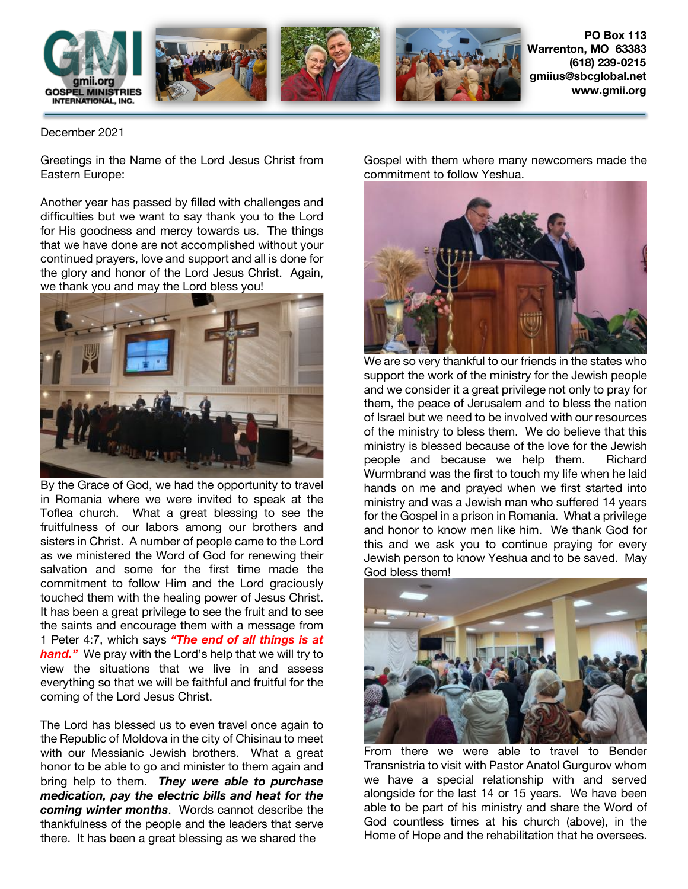

December 2021

Greetings in the Name of the Lord Jesus Christ from Eastern Europe:

Another year has passed by filled with challenges and difficulties but we want to say thank you to the Lord for His goodness and mercy towards us. The things that we have done are not accomplished without your continued prayers, love and support and all is done for the glory and honor of the Lord Jesus Christ. Again, we thank you and may the Lord bless you!



By the Grace of God, we had the opportunity to travel in Romania where we were invited to speak at the Toflea church. What a great blessing to see the fruitfulness of our labors among our brothers and sisters in Christ. A number of people came to the Lord as we ministered the Word of God for renewing their salvation and some for the first time made the commitment to follow Him and the Lord graciously touched them with the healing power of Jesus Christ. It has been a great privilege to see the fruit and to see the saints and encourage them with a message from 1 Peter 4:7, which says *"The end of all things is at hand."* We pray with the Lord's help that we will try to view the situations that we live in and assess everything so that we will be faithful and fruitful for the coming of the Lord Jesus Christ.

The Lord has blessed us to even travel once again to the Republic of Moldova in the city of Chisinau to meet with our Messianic Jewish brothers. What a great honor to be able to go and minister to them again and bring help to them. *They were able to purchase medication, pay the electric bills and heat for the coming winter months*. Words cannot describe the thankfulness of the people and the leaders that serve there. It has been a great blessing as we shared the

Gospel with them where many newcomers made the commitment to follow Yeshua.



We are so very thankful to our friends in the states who support the work of the ministry for the Jewish people and we consider it a great privilege not only to pray for them, the peace of Jerusalem and to bless the nation of Israel but we need to be involved with our resources of the ministry to bless them. We do believe that this ministry is blessed because of the love for the Jewish people and because we help them. Richard Wurmbrand was the first to touch my life when he laid hands on me and prayed when we first started into ministry and was a Jewish man who suffered 14 years for the Gospel in a prison in Romania. What a privilege and honor to know men like him. We thank God for this and we ask you to continue praying for every Jewish person to know Yeshua and to be saved. May God bless them!



From there we were able to travel to Bender Transnistria to visit with Pastor Anatol Gurgurov whom we have a special relationship with and served alongside for the last 14 or 15 years. We have been able to be part of his ministry and share the Word of God countless times at his church (above), in the Home of Hope and the rehabilitation that he oversees.